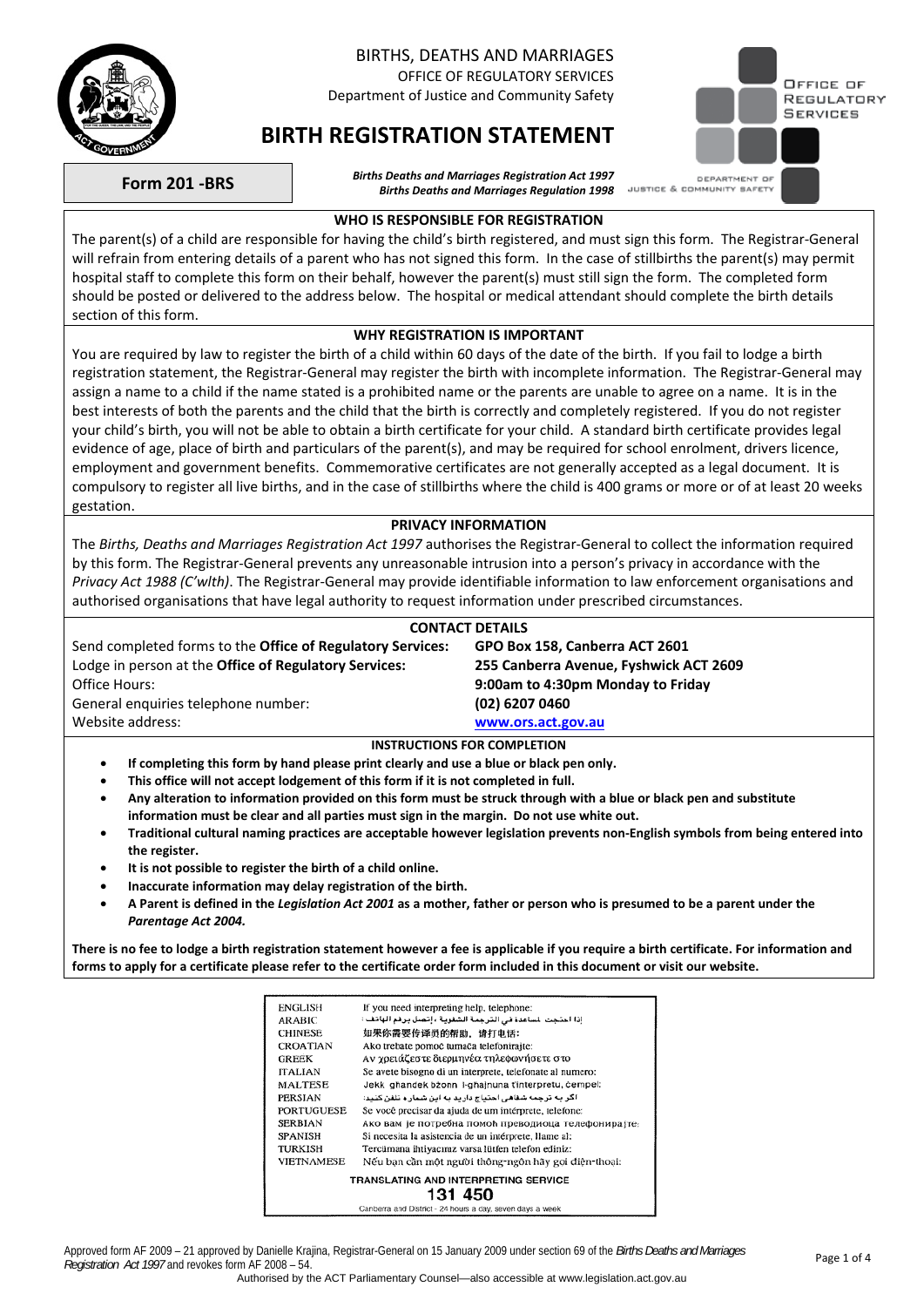

## BIRTHS, DEATHS AND MARRIAGES

OFFICE OF REGULATORY SERVICES Department of Justice and Community Safety

# **BIRTH REGISTRATION STATEMENT**



**Form 201 -BRS** *Births Deaths and Marriages Registration Act 1997 Births Deaths and Marriages Regulation 1998* 

#### **WHO IS RESPONSIBLE FOR REGISTRATION**

The parent(s) of a child are responsible for having the child's birth registered, and must sign this form. The Registrar-General will refrain from entering details of a parent who has not signed this form. In the case of stillbirths the parent(s) may permit hospital staff to complete this form on their behalf, however the parent(s) must still sign the form. The completed form should be posted or delivered to the address below. The hospital or medical attendant should complete the birth details section of this form.

### **WHY REGISTRATION IS IMPORTANT**

You are required by law to register the birth of a child within 60 days of the date of the birth. If you fail to lodge a birth registration statement, the Registrar-General may register the birth with incomplete information. The Registrar-General may assign a name to a child if the name stated is a prohibited name or the parents are unable to agree on a name. It is in the best interests of both the parents and the child that the birth is correctly and completely registered. If you do not register your child's birth, you will not be able to obtain a birth certificate for your child. A standard birth certificate provides legal evidence of age, place of birth and particulars of the parent(s), and may be required for school enrolment, drivers licence, employment and government benefits. Commemorative certificates are not generally accepted as a legal document. It is compulsory to register all live births, and in the case of stillbirths where the child is 400 grams or more or of at least 20 weeks gestation.

### **PRIVACY INFORMATION**

The *Births, Deaths and Marriages Registration Act 1997* authorises the Registrar-General to collect the information required by this form. The Registrar-General prevents any unreasonable intrusion into a person's privacy in accordance with the *Privacy Act 1988 (C'wlth)*. The Registrar-General may provide identifiable information to law enforcement organisations and authorised organisations that have legal authority to request information under prescribed circumstances.

| <b>CONTACT DETAILS</b>                                            |                                        |  |  |  |  |  |
|-------------------------------------------------------------------|----------------------------------------|--|--|--|--|--|
| Send completed forms to the <b>Office of Regulatory Services:</b> | GPO Box 158, Canberra ACT 2601         |  |  |  |  |  |
| Lodge in person at the <b>Office of Regulatory Services:</b>      | 255 Canberra Avenue, Fyshwick ACT 2609 |  |  |  |  |  |
| Office Hours:                                                     | 9:00am to 4:30pm Monday to Friday      |  |  |  |  |  |
| General enguiries telephone number:                               | (02) 6207 0460                         |  |  |  |  |  |
| Website address:                                                  | www.ors.act.gov.au                     |  |  |  |  |  |
| <b>INSTRUCTIONS FOR COMPLETION</b>                                |                                        |  |  |  |  |  |

- **If completing this form by hand please print clearly and use a blue or black pen only.**
- **This office will not accept lodgement of this form if it is not completed in full.**
- **Any alteration to information provided on this form must be struck through with a blue or black pen and substitute information must be clear and all parties must sign in the margin. Do not use white out.**
- **Traditional cultural naming practices are acceptable however legislation prevents non-English symbols from being entered into the register.**
- **It is not possible to register the birth of a child online.**
- **Inaccurate information may delay registration of the birth.**
- **A Parent is defined in the** *Legislation Act 2001* **as a mother, father or person who is presumed to be a parent under the**  *Parentage Act 2004.*

**There is no fee to lodge a birth registration statement however a fee is applicable if you require a birth certificate. For information and forms to apply for a certificate please refer to the certificate order form included in this document or visit our website.**

| ENGLISH           | If you need interpreting help, telephone:                |
|-------------------|----------------------------------------------------------|
| <b>ARABIC</b>     | إذا احتجت لساعدة في الترجمة الشفوية ، إتصل برقم الهاتف : |
| <b>CHINESE</b>    | 如果你需要传译员的帮助,请打电话:                                        |
| <b>CROATIAN</b>   | Ako trebate pomoć tumača telefonirajte:                  |
| <b>GREEK</b>      | Αν χρειάζεστε διερμηνέα τηλεφωνήσετε στο                 |
| <b>ITALIAN</b>    | Se avete bisogno di un interprete, telefonate al numero: |
| <b>MALTESE</b>    | Jekk ghandek bżonn I-ghajnuna t'interpretu, cempel:      |
| PERSIAN           | اگر به ترجمه شفاهی احتیاج دارید به این شماره تلفن کنید:  |
| <b>PORTUGUESE</b> | Se você precisar da ajuda de um intérprete, telefone:    |
| <b>SERBIAN</b>    | Ако вам је потребна помоћ преводиоца телефонирајте:      |
| <b>SPANISH</b>    | Si necesita la asistencia de un intérprete, llame al:    |
| TURKISH           | Tercümana ihtiyacınız varsa lütfen telefon ediniz:       |
| <b>VIETNAMESE</b> | Nếu bạn cần một người thông-ngôn hãy gọi điện-thoại:     |
|                   | TRANSLATING AND INTERPRETING SERVICE                     |
|                   | 131 450                                                  |
|                   | Canharra and District - 24 hours a day seven days a week |

Approved form AF 2009 – 21 approved by Danielle Krajina, Registrar-General on 15 January 2009 under section 69 of the *Births Deaths and Marriages*  Approved form Art 2009 – 21 approved by Danielle Krajina, Registrat-General on 15 January 2009 under section 69 or the *Dirths Deams and Marnages* Page 1 of 4<br>Registration Act 1997 and revokes form AF 2008 – 54.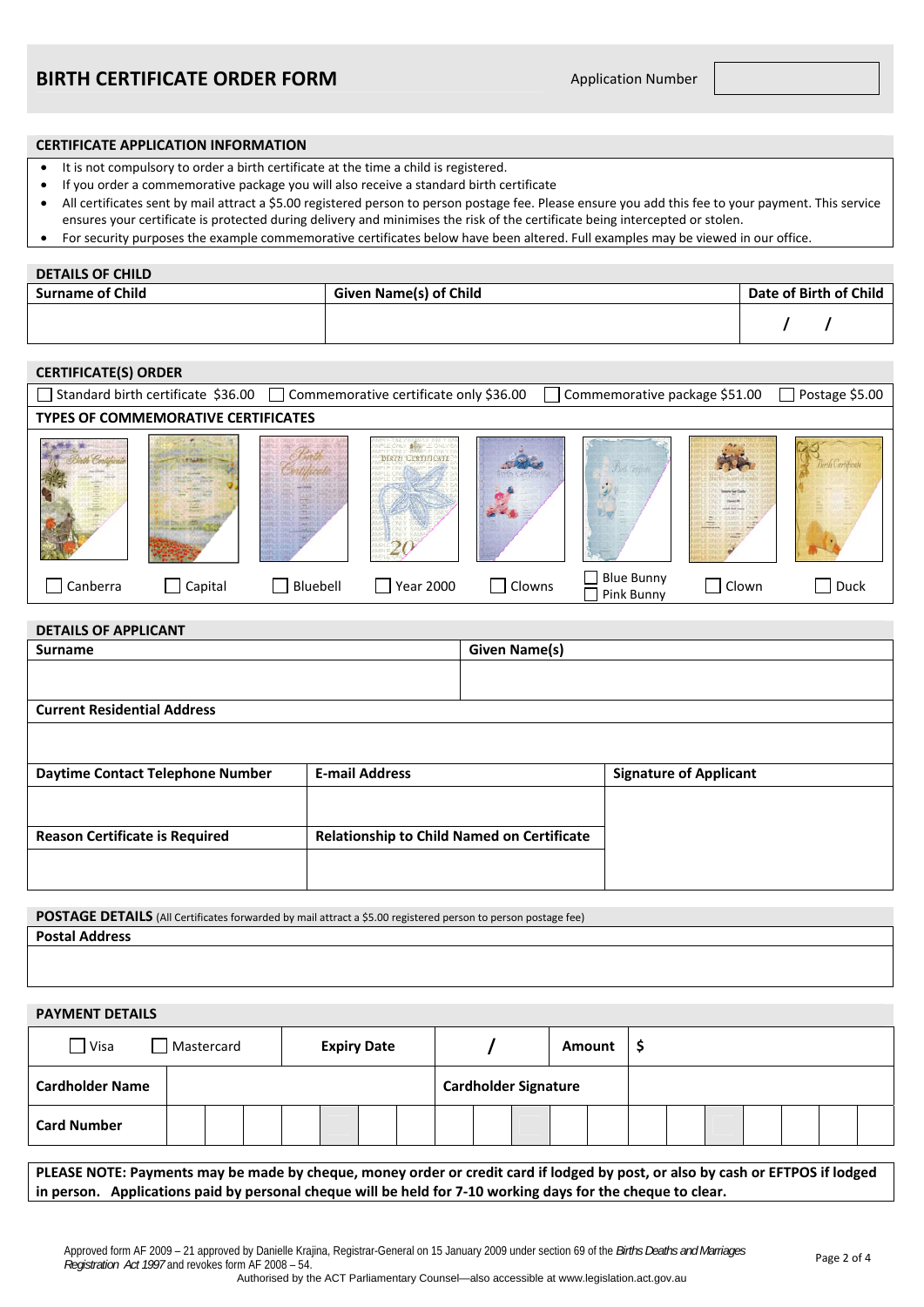#### **CERTIFICATE APPLICATION INFORMATION**

- It is not compulsory to order a birth certificate at the time a child is registered.
- If you order a commemorative package you will also receive a standard birth certificate
- All certificates sent by mail attract a \$5.00 registered person to person postage fee. Please ensure you add this fee to your payment. This service ensures your certificate is protected during delivery and minimises the risk of the certificate being intercepted or stolen.
- For security purposes the example commemorative certificates below have been altered. Full examples may be viewed in our office.

#### **DETAILS OF CHILD**

| <b>Surname of Child</b> | Given Name(s) of Child | Date of Birth of Child |
|-------------------------|------------------------|------------------------|
|                         |                        |                        |

# **CERTIFICATE(S) ORDER**  □ Standard birth certificate \$36.00 □ Commemorative certificate only \$36.00 □ Commemorative package \$51.00 □ Postage \$5.00 **TYPES OF COMMEMORATIVE CERTIFICATES**  BIRTH CERTIFICATE  $\hat{\mathcal{L}}$ Uw 20 ■ Blue Bunny D Clown D Duck<br>
■ Pink Bunny D Clown Canberra  $\Box$  Capital  $\Box$  Bluebell  $\Box$  Year 2000  $\Box$  Clowns  $\Box$  Blue Bunny

| <b>DETAILS OF APPLICANT</b>           |                                                   |                      |                               |  |  |  |  |
|---------------------------------------|---------------------------------------------------|----------------------|-------------------------------|--|--|--|--|
| <b>Surname</b>                        |                                                   | <b>Given Name(s)</b> |                               |  |  |  |  |
|                                       |                                                   |                      |                               |  |  |  |  |
|                                       |                                                   |                      |                               |  |  |  |  |
| <b>Current Residential Address</b>    |                                                   |                      |                               |  |  |  |  |
|                                       |                                                   |                      |                               |  |  |  |  |
| Daytime Contact Telephone Number      | <b>E-mail Address</b>                             |                      | <b>Signature of Applicant</b> |  |  |  |  |
|                                       |                                                   |                      |                               |  |  |  |  |
| <b>Reason Certificate is Required</b> | <b>Relationship to Child Named on Certificate</b> |                      |                               |  |  |  |  |
|                                       |                                                   |                      |                               |  |  |  |  |
|                                       |                                                   |                      |                               |  |  |  |  |

**POSTAGE DETAILS** (All Certificates forwarded by mail attract a \$5.00 registered person to person postage fee) **Postal Address** 

**PAYMENT DETAILS** 

| $\Box$ Visa            | Mastercard |  | <b>Expiry Date</b> |  |  |                             | <b>Amount</b> |  |  |  |  |
|------------------------|------------|--|--------------------|--|--|-----------------------------|---------------|--|--|--|--|
| <b>Cardholder Name</b> |            |  |                    |  |  | <b>Cardholder Signature</b> |               |  |  |  |  |
| <b>Card Number</b>     |            |  |                    |  |  |                             |               |  |  |  |  |

**PLEASE NOTE: Payments may be made by cheque, money order or credit card if lodged by post, or also by cash or EFTPOS if lodged in person. Applications paid by personal cheque will be held for 7-10 working days for the cheque to clear.**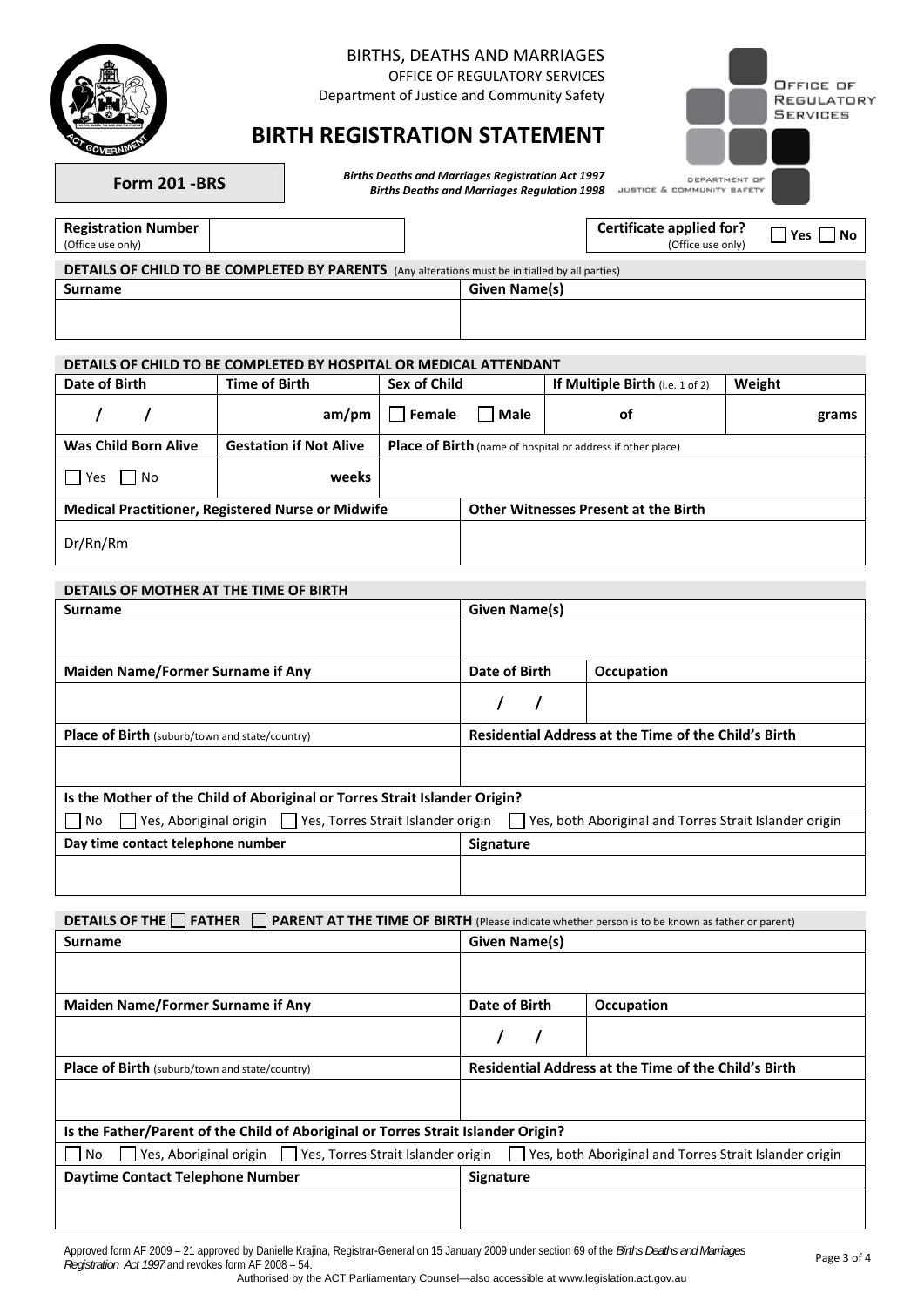

### BIRTHS, DEATHS AND MARRIAGES

OFFICE OF REGULATORY SERVICES

Department of Justice and Community Safety

## **BIRTH REGISTRATION STATEMENT**

|                                   | OFFICE OF<br>REGULATORY<br><b>SERVICES</b> |
|-----------------------------------|--------------------------------------------|
|                                   |                                            |
| DEPARTMENT OF<br>COMMUNITY SAFETY |                                            |

**Form 201 -BRS** *Births Deaths and Marriages Registration Act 1997 Births Deaths and Marriages Regulation 1998* 

**Registration Number**<br>(Office use only)

**Certificate applied for?** 

**JUSTICE &** 

(Office use only)  **Yes No**

| <b>DETAILS OF CHILD TO BE COMPLETED BY PARENTS</b> (Any alterations must be initialled by all parties) |               |  |  |  |  |
|--------------------------------------------------------------------------------------------------------|---------------|--|--|--|--|
| <b>Surname</b>                                                                                         | Given Name(s) |  |  |  |  |
|                                                                                                        |               |  |  |  |  |

### **DETAILS OF CHILD TO BE COMPLETED BY HOSPITAL OR MEDICAL ATTENDANT**

| Date of Birth               | Time of Birth                                            | Sex of Child |      | If Multiple Birth (i.e. 1 of 2)                             | Weight |
|-----------------------------|----------------------------------------------------------|--------------|------|-------------------------------------------------------------|--------|
|                             | am/m                                                     | Female       | Male | оf                                                          | grams  |
| <b>Was Child Born Alive</b> | <b>Gestation if Not Alive</b>                            |              |      | Place of Birth (name of hospital or address if other place) |        |
| Yes<br><b>No</b>            | weeks                                                    |              |      |                                                             |        |
|                             | <b>Medical Practitioner, Registered Nurse or Midwife</b> |              |      | <b>Other Witnesses Present at the Birth</b>                 |        |
| Dr/Rn/Rm                    |                                                          |              |      |                                                             |        |

### **DETAILS OF MOTHER AT THE TIME OF BIRTH**

| <b>Surname</b>                                                             | Given Name(s)                                               |                   |  |  |  |  |
|----------------------------------------------------------------------------|-------------------------------------------------------------|-------------------|--|--|--|--|
|                                                                            |                                                             |                   |  |  |  |  |
| Maiden Name/Former Surname if Any                                          | Date of Birth                                               | <b>Occupation</b> |  |  |  |  |
|                                                                            |                                                             |                   |  |  |  |  |
| <b>Place of Birth</b> (suburb/town and state/country)                      | <b>Residential Address at the Time of the Child's Birth</b> |                   |  |  |  |  |
|                                                                            |                                                             |                   |  |  |  |  |
| Is the Mother of the Child of Aboriginal or Torres Strait Islander Origin? |                                                             |                   |  |  |  |  |
| Yes, Aboriginal origin     Yes, Torres Strait Islander origin<br>No        | Yes, both Aboriginal and Torres Strait Islander origin      |                   |  |  |  |  |
| Day time contact telephone number                                          | <b>Signature</b>                                            |                   |  |  |  |  |
|                                                                            |                                                             |                   |  |  |  |  |

**DETAILS OF THE FATHER FARENT AT THE TIME OF BIRTH** (Please indicate whether person is to be known as father or parent)

| <b>Surname</b>                                                                    | Given Name(s)    |                                                             |  |  |  |
|-----------------------------------------------------------------------------------|------------------|-------------------------------------------------------------|--|--|--|
|                                                                                   |                  |                                                             |  |  |  |
| <b>Maiden Name/Former Surname if Any</b>                                          | Date of Birth    | Occupation                                                  |  |  |  |
|                                                                                   |                  |                                                             |  |  |  |
| Place of Birth (suburb/town and state/country)                                    |                  | <b>Residential Address at the Time of the Child's Birth</b> |  |  |  |
|                                                                                   |                  |                                                             |  |  |  |
| Is the Father/Parent of the Child of Aboriginal or Torres Strait Islander Origin? |                  |                                                             |  |  |  |
| Yes, Aboriginal origin   Yes, Torres Strait Islander origin<br>No.                | $1 - 1$          | Yes, both Aboriginal and Torres Strait Islander origin      |  |  |  |
| Daytime Contact Telephone Number                                                  | <b>Signature</b> |                                                             |  |  |  |
|                                                                                   |                  |                                                             |  |  |  |